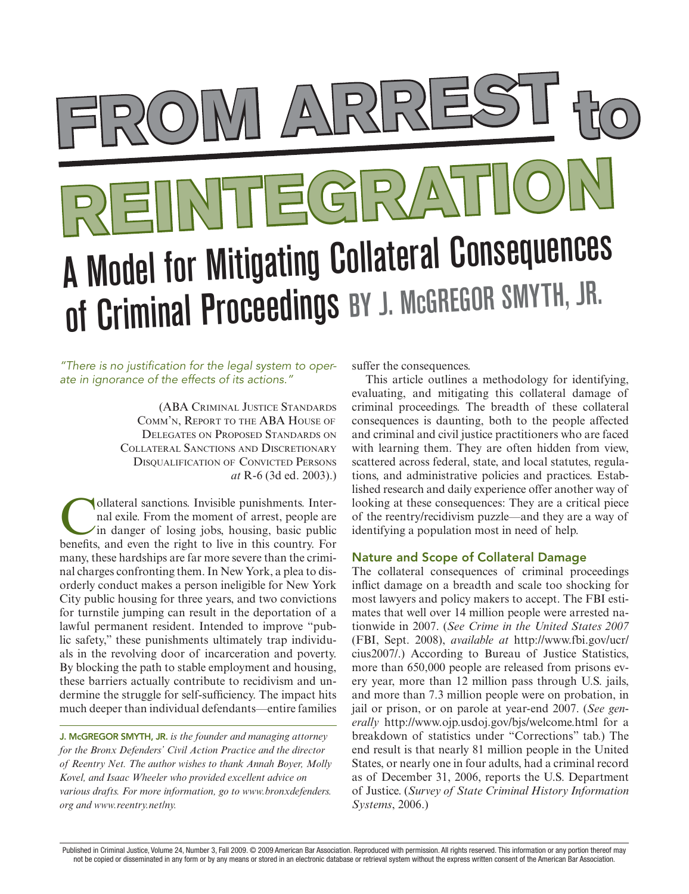# **From Arrest to Reintegration** A Model for Mitigating Collateral Consequences of Criminal Proceedings BY J. McGREGOR SMYTH, JR.

*"There is no justification for the legal system to operate in ignorance of the effects of its actions."* 

> (ABA Criminal Justice Standards Comm'n, Report to the ABA House of Delegates on Proposed Standards on Collateral Sanctions and Discretionary DISOUALIFICATION OF CONVICTED PERSONS *at* R-6 (3d ed. 2003).)

ollateral sanctions. Invisible punishments. Internal exile. From the moment of arrest, people are in danger of losing jobs, housing, basic public benefits, and even the right to live in this country. For many, these hardships are far more severe than the criminal charges confronting them. In New York, a plea to disorderly conduct makes a person ineligible for New York City public housing for three years, and two convictions for turnstile jumping can result in the deportation of a lawful permanent resident. Intended to improve "public safety," these punishments ultimately trap individuals in the revolving door of incarceration and poverty. By blocking the path to stable employment and housing, these barriers actually contribute to recidivism and undermine the struggle for self-sufficiency. The impact hits much deeper than individual defendants—entire families

J. McGREGOR SMYTH, JR. *is the founder and managing attorney for the Bronx Defenders' Civil Action Practice and the director of Reentry Net. The author wishes to thank Annah Boyer, Molly Kovel, and Isaac Wheeler who provided excellent advice on various drafts. For more information, go to www.bronxdefenders. org and www.reentry.net/ny.*

suffer the consequences.

This article outlines a methodology for identifying, evaluating, and mitigating this collateral damage of criminal proceedings. The breadth of these collateral consequences is daunting, both to the people affected and criminal and civil justice practitioners who are faced with learning them. They are often hidden from view, scattered across federal, state, and local statutes, regulations, and administrative policies and practices. Established research and daily experience offer another way of looking at these consequences: They are a critical piece of the reentry/recidivism puzzle—and they are a way of identifying a population most in need of help.

# Nature and Scope of Collateral Damage

The collateral consequences of criminal proceedings inflict damage on a breadth and scale too shocking for most lawyers and policy makers to accept. The FBI estimates that well over 14 million people were arrested nationwide in 2007. (*See Crime in the United States 2007* (FBI, Sept. 2008), *available at* http://www.fbi.gov/ucr/ cius2007/.) According to Bureau of Justice Statistics, more than 650,000 people are released from prisons every year, more than 12 million pass through U.S. jails, and more than 7.3 million people were on probation, in jail or prison, or on parole at year-end 2007. (*See generally* http://www.ojp.usdoj.gov/bjs/welcome.html for a breakdown of statistics under "Corrections" tab.) The end result is that nearly 81 million people in the United States, or nearly one in four adults, had a criminal record as of December 31, 2006, reports the U.S. Department of Justice. (*Survey of State Criminal History Information Systems*, 2006.)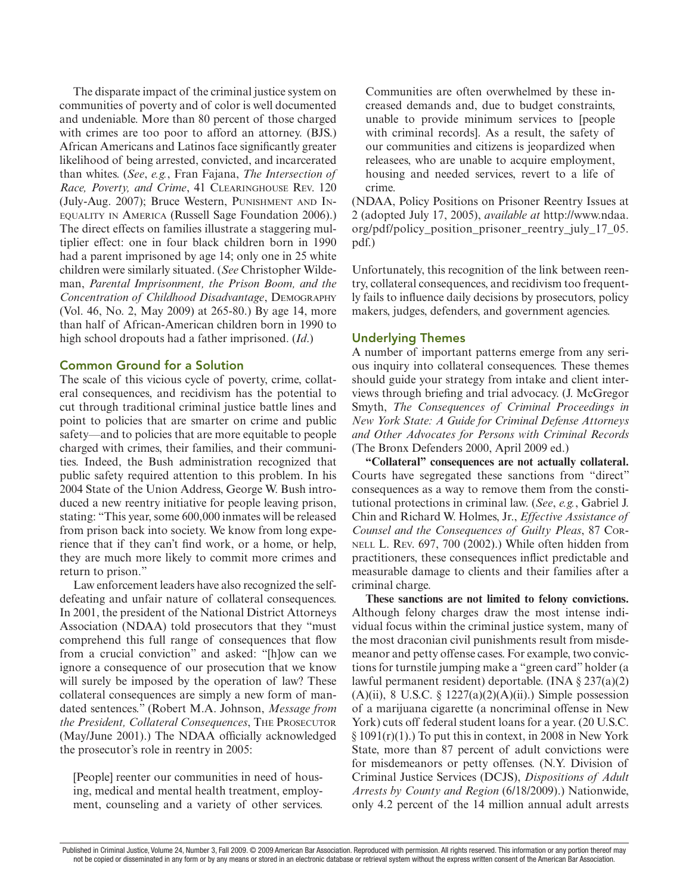The disparate impact of the criminal justice system on communities of poverty and of color is well documented and undeniable. More than 80 percent of those charged with crimes are too poor to afford an attorney. (BJS.) African Americans and Latinos face significantly greater likelihood of being arrested, convicted, and incarcerated than whites. (*See*, *e.g.*, Fran Fajana, *The Intersection of Race, Poverty, and Crime*, 41 Clearinghouse Rev. 120 (July-Aug. 2007); Bruce Western, Punishment and Inequality in America (Russell Sage Foundation 2006).) The direct effects on families illustrate a staggering multiplier effect: one in four black children born in 1990 had a parent imprisoned by age 14; only one in 25 white children were similarly situated. (*See* Christopher Wildeman, *Parental Imprisonment, the Prison Boom, and the Concentration of Childhood Disadvantage*, Demography (Vol. 46, No. 2, May 2009) at 265-80.) By age 14, more than half of African-American children born in 1990 to high school dropouts had a father imprisoned. (*Id*.)

## Common Ground for a Solution

The scale of this vicious cycle of poverty, crime, collateral consequences, and recidivism has the potential to cut through traditional criminal justice battle lines and point to policies that are smarter on crime and public safety—and to policies that are more equitable to people charged with crimes, their families, and their communities. Indeed, the Bush administration recognized that public safety required attention to this problem. In his 2004 State of the Union Address, George W. Bush introduced a new reentry initiative for people leaving prison, stating: "This year, some 600,000 inmates will be released from prison back into society. We know from long experience that if they can't find work, or a home, or help, they are much more likely to commit more crimes and return to prison."

Law enforcement leaders have also recognized the selfdefeating and unfair nature of collateral consequences. In 2001, the president of the National District Attorneys Association (NDAA) told prosecutors that they "must comprehend this full range of consequences that flow from a crucial conviction" and asked: "[h]ow can we ignore a consequence of our prosecution that we know will surely be imposed by the operation of law? These collateral consequences are simply a new form of mandated sentences." (Robert M.A. Johnson, *Message from the President, Collateral Consequences*, The Prosecutor (May/June 2001).) The NDAA officially acknowledged the prosecutor's role in reentry in 2005:

[People] reenter our communities in need of housing, medical and mental health treatment, employment, counseling and a variety of other services.

Communities are often overwhelmed by these increased demands and, due to budget constraints, unable to provide minimum services to [people with criminal records]. As a result, the safety of our communities and citizens is jeopardized when releasees, who are unable to acquire employment, housing and needed services, revert to a life of crime.

(NDAA, Policy Positions on Prisoner Reentry Issues at 2 (adopted July 17, 2005), *available at* http://www.ndaa. org/pdf/policy\_position\_prisoner\_reentry\_july\_17\_05. pdf.)

Unfortunately, this recognition of the link between reentry, collateral consequences, and recidivism too frequently fails to influence daily decisions by prosecutors, policy makers, judges, defenders, and government agencies.

## Underlying Themes

A number of important patterns emerge from any serious inquiry into collateral consequences. These themes should guide your strategy from intake and client interviews through briefing and trial advocacy. (J. McGregor Smyth, *The Consequences of Criminal Proceedings in New York State: A Guide for Criminal Defense Attorneys and Other Advocates for Persons with Criminal Records* (The Bronx Defenders 2000, April 2009 ed.)

**"Collateral" consequences are not actually collateral.** Courts have segregated these sanctions from "direct" consequences as a way to remove them from the constitutional protections in criminal law. (*See*, *e.g.*, Gabriel J. Chin and Richard W. Holmes, Jr., *Effective Assistance of Counsel and the Consequences of Guilty Pleas*, 87 Cornell L. Rev. 697, 700 (2002).) While often hidden from practitioners, these consequences inflict predictable and measurable damage to clients and their families after a criminal charge.

**These sanctions are not limited to felony convictions.** Although felony charges draw the most intense individual focus within the criminal justice system, many of the most draconian civil punishments result from misdemeanor and petty offense cases. For example, two convictions for turnstile jumping make a "green card" holder (a lawful permanent resident) deportable. (INA § 237(a)(2) (A)(ii), 8 U.S.C. §  $1227(a)(2)(A)(ii)$ .) Simple possession of a marijuana cigarette (a noncriminal offense in New York) cuts off federal student loans for a year. (20 U.S.C.  $\S 1091(r)(1)$ .) To put this in context, in 2008 in New York State, more than 87 percent of adult convictions were for misdemeanors or petty offenses. (N.Y. Division of Criminal Justice Services (DCJS), *Dispositions of Adult Arrests by County and Region* (6/18/2009).) Nationwide, only 4.2 percent of the 14 million annual adult arrests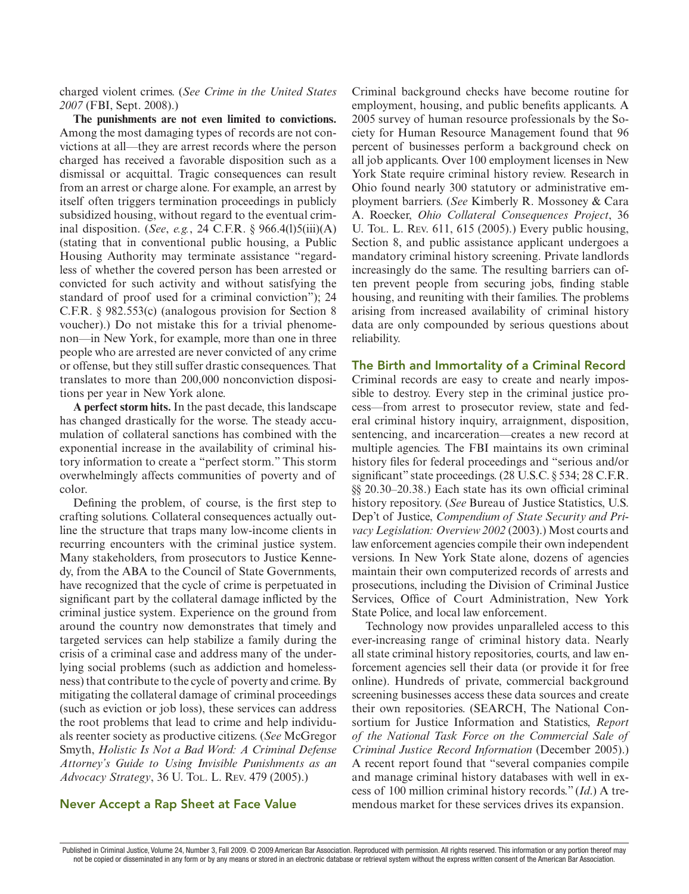charged violent crimes. (*See Crime in the United States 2007* (FBI, Sept. 2008).)

**The punishments are not even limited to convictions.**  Among the most damaging types of records are not convictions at all—they are arrest records where the person charged has received a favorable disposition such as a dismissal or acquittal. Tragic consequences can result from an arrest or charge alone. For example, an arrest by itself often triggers termination proceedings in publicly subsidized housing, without regard to the eventual criminal disposition. (*See*, *e.g.*, 24 C.F.R. § 966.4(l)5(iii)(A) (stating that in conventional public housing, a Public Housing Authority may terminate assistance "regardless of whether the covered person has been arrested or convicted for such activity and without satisfying the standard of proof used for a criminal conviction"); 24 C.F.R. § 982.553(c) (analogous provision for Section 8 voucher).) Do not mistake this for a trivial phenomenon—in New York, for example, more than one in three people who are arrested are never convicted of any crime or offense, but they still suffer drastic consequences. That translates to more than 200,000 nonconviction dispositions per year in New York alone.

**A perfect storm hits.** In the past decade, this landscape has changed drastically for the worse. The steady accumulation of collateral sanctions has combined with the exponential increase in the availability of criminal history information to create a "perfect storm." This storm overwhelmingly affects communities of poverty and of color.

Defining the problem, of course, is the first step to crafting solutions. Collateral consequences actually outline the structure that traps many low-income clients in recurring encounters with the criminal justice system. Many stakeholders, from prosecutors to Justice Kennedy, from the ABA to the Council of State Governments, have recognized that the cycle of crime is perpetuated in significant part by the collateral damage inflicted by the criminal justice system. Experience on the ground from around the country now demonstrates that timely and targeted services can help stabilize a family during the crisis of a criminal case and address many of the underlying social problems (such as addiction and homelessness) that contribute to the cycle of poverty and crime. By mitigating the collateral damage of criminal proceedings (such as eviction or job loss), these services can address the root problems that lead to crime and help individuals reenter society as productive citizens. (*See* McGregor Smyth, *Holistic Is Not a Bad Word: A Criminal Defense Attorney's Guide to Using Invisible Punishments as an Advocacy Strategy*, 36 U. Tol. L. Rev. 479 (2005).)

Criminal background checks have become routine for employment, housing, and public benefits applicants. A 2005 survey of human resource professionals by the Society for Human Resource Management found that 96 percent of businesses perform a background check on all job applicants. Over 100 employment licenses in New York State require criminal history review. Research in Ohio found nearly 300 statutory or administrative employment barriers. (*See* Kimberly R. Mossoney & Cara A. Roecker, *Ohio Collateral Consequences Project*, 36 U. Tol. L. Rev. 611, 615 (2005).) Every public housing, Section 8, and public assistance applicant undergoes a mandatory criminal history screening. Private landlords increasingly do the same. The resulting barriers can often prevent people from securing jobs, finding stable housing, and reuniting with their families. The problems arising from increased availability of criminal history data are only compounded by serious questions about reliability.

#### The Birth and Immortality of a Criminal Record

Criminal records are easy to create and nearly impossible to destroy. Every step in the criminal justice process—from arrest to prosecutor review, state and federal criminal history inquiry, arraignment, disposition, sentencing, and incarceration—creates a new record at multiple agencies. The FBI maintains its own criminal history files for federal proceedings and "serious and/or significant" state proceedings. (28 U.S.C. § 534; 28 C.F.R. §§ 20.30–20.38.) Each state has its own official criminal history repository. (*See* Bureau of Justice Statistics, U.S. Dep't of Justice, *Compendium of State Security and Privacy Legislation: Overview 2002* (2003).) Most courts and law enforcement agencies compile their own independent versions. In New York State alone, dozens of agencies maintain their own computerized records of arrests and prosecutions, including the Division of Criminal Justice Services, Office of Court Administration, New York State Police, and local law enforcement.

Technology now provides unparalleled access to this ever-increasing range of criminal history data. Nearly all state criminal history repositories, courts, and law enforcement agencies sell their data (or provide it for free online). Hundreds of private, commercial background screening businesses access these data sources and create their own repositories. (SEARCH, The National Consortium for Justice Information and Statistics, *Report of the National Task Force on the Commercial Sale of Criminal Justice Record Information* (December 2005).) A recent report found that "several companies compile and manage criminal history databases with well in excess of 100 million criminal history records." (*Id*.) A tremendous market for these services drives its expansion.

# Never Accept a Rap Sheet at Face Value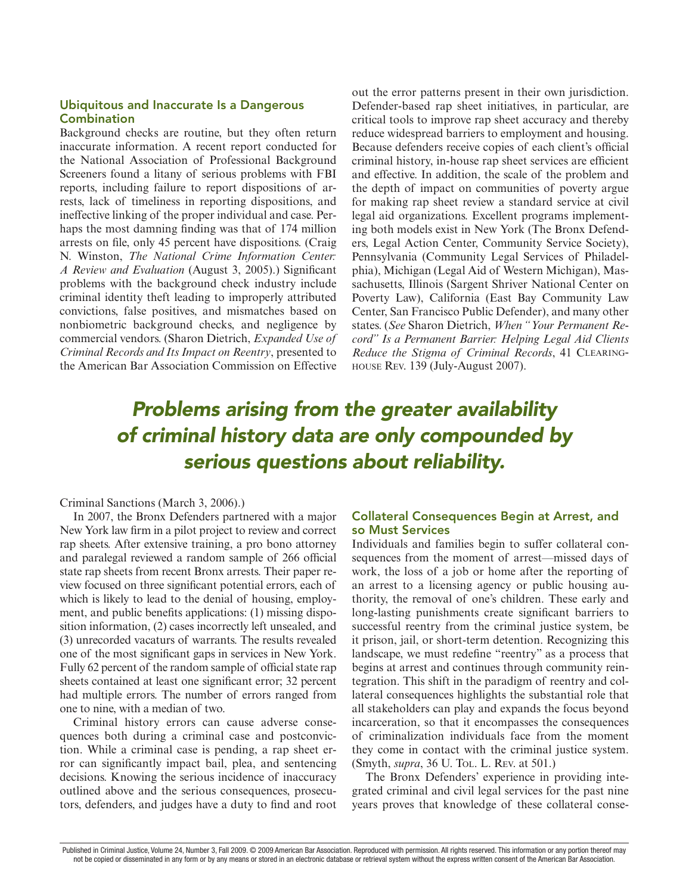## Ubiquitous and Inaccurate Is a Dangerous **Combination**

Background checks are routine, but they often return inaccurate information. A recent report conducted for the National Association of Professional Background Screeners found a litany of serious problems with FBI reports, including failure to report dispositions of arrests, lack of timeliness in reporting dispositions, and ineffective linking of the proper individual and case. Perhaps the most damning finding was that of 174 million arrests on file, only 45 percent have dispositions. (Craig N. Winston, *The National Crime Information Center: A Review and Evaluation* (August 3, 2005).) Significant problems with the background check industry include criminal identity theft leading to improperly attributed convictions, false positives, and mismatches based on nonbiometric background checks, and negligence by commercial vendors. (Sharon Dietrich, *Expanded Use of Criminal Records and Its Impact on Reentry*, presented to the American Bar Association Commission on Effective

out the error patterns present in their own jurisdiction. Defender-based rap sheet initiatives, in particular, are critical tools to improve rap sheet accuracy and thereby reduce widespread barriers to employment and housing. Because defenders receive copies of each client's official criminal history, in-house rap sheet services are efficient and effective. In addition, the scale of the problem and the depth of impact on communities of poverty argue for making rap sheet review a standard service at civil legal aid organizations. Excellent programs implementing both models exist in New York (The Bronx Defenders, Legal Action Center, Community Service Society), Pennsylvania (Community Legal Services of Philadelphia), Michigan (Legal Aid of Western Michigan), Massachusetts, Illinois (Sargent Shriver National Center on Poverty Law), California (East Bay Community Law Center, San Francisco Public Defender), and many other states. (*See* Sharon Dietrich, *When "Your Permanent Record" Is a Permanent Barrier: Helping Legal Aid Clients Reduce the Stigma of Criminal Records*, 41 Clearinghouse Rev. 139 (July-August 2007).

# *Problems arising from the greater availability of criminal history data are only compounded by serious questions about reliability.*

#### Criminal Sanctions (March 3, 2006).)

In 2007, the Bronx Defenders partnered with a major New York law firm in a pilot project to review and correct rap sheets. After extensive training, a pro bono attorney and paralegal reviewed a random sample of 266 official state rap sheets from recent Bronx arrests. Their paper review focused on three significant potential errors, each of which is likely to lead to the denial of housing, employment, and public benefits applications: (1) missing disposition information, (2) cases incorrectly left unsealed, and (3) unrecorded vacaturs of warrants. The results revealed one of the most significant gaps in services in New York. Fully 62 percent of the random sample of official state rap sheets contained at least one significant error; 32 percent had multiple errors. The number of errors ranged from one to nine, with a median of two.

Criminal history errors can cause adverse consequences both during a criminal case and postconviction. While a criminal case is pending, a rap sheet error can significantly impact bail, plea, and sentencing decisions. Knowing the serious incidence of inaccuracy outlined above and the serious consequences, prosecutors, defenders, and judges have a duty to find and root

# Collateral Consequences Begin at Arrest, and so Must Services

Individuals and families begin to suffer collateral consequences from the moment of arrest—missed days of work, the loss of a job or home after the reporting of an arrest to a licensing agency or public housing authority, the removal of one's children. These early and long-lasting punishments create significant barriers to successful reentry from the criminal justice system, be it prison, jail, or short-term detention. Recognizing this landscape, we must redefine "reentry" as a process that begins at arrest and continues through community reintegration. This shift in the paradigm of reentry and collateral consequences highlights the substantial role that all stakeholders can play and expands the focus beyond incarceration, so that it encompasses the consequences of criminalization individuals face from the moment they come in contact with the criminal justice system. (Smyth, *supra*, 36 U. Tol. L. Rev. at 501.)

The Bronx Defenders' experience in providing integrated criminal and civil legal services for the past nine years proves that knowledge of these collateral conse-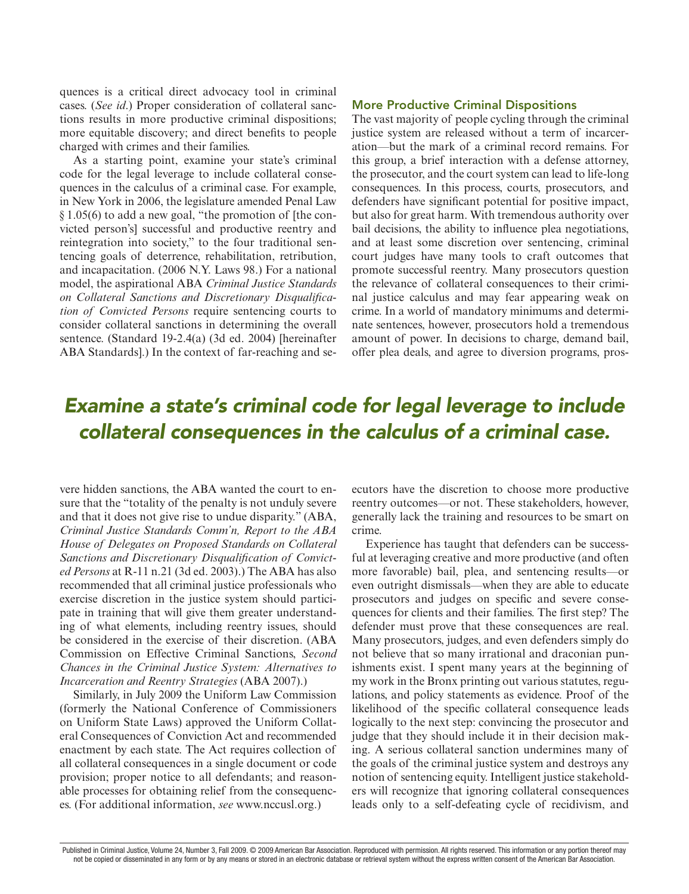quences is a critical direct advocacy tool in criminal cases. (*See id*.) Proper consideration of collateral sanctions results in more productive criminal dispositions; more equitable discovery; and direct benefits to people charged with crimes and their families.

As a starting point, examine your state's criminal code for the legal leverage to include collateral consequences in the calculus of a criminal case. For example, in New York in 2006, the legislature amended Penal Law § 1.05(6) to add a new goal, "the promotion of [the convicted person's] successful and productive reentry and reintegration into society," to the four traditional sentencing goals of deterrence, rehabilitation, retribution, and incapacitation. (2006 N.Y. Laws 98.) For a national model, the aspirational ABA *Criminal Justice Standards on Collateral Sanctions and Discretionary Disqualification of Convicted Persons* require sentencing courts to consider collateral sanctions in determining the overall sentence. (Standard 19-2.4(a) (3d ed. 2004) [hereinafter ABA Standards].) In the context of far-reaching and se-

#### More Productive Criminal Dispositions

The vast majority of people cycling through the criminal justice system are released without a term of incarceration—but the mark of a criminal record remains. For this group, a brief interaction with a defense attorney, the prosecutor, and the court system can lead to life-long consequences. In this process, courts, prosecutors, and defenders have significant potential for positive impact, but also for great harm. With tremendous authority over bail decisions, the ability to influence plea negotiations, and at least some discretion over sentencing, criminal court judges have many tools to craft outcomes that promote successful reentry. Many prosecutors question the relevance of collateral consequences to their criminal justice calculus and may fear appearing weak on crime. In a world of mandatory minimums and determinate sentences, however, prosecutors hold a tremendous amount of power. In decisions to charge, demand bail, offer plea deals, and agree to diversion programs, pros-

# *Examine a state's criminal code for legal leverage to include collateral consequences in the calculus of a criminal case.*

vere hidden sanctions, the ABA wanted the court to ensure that the "totality of the penalty is not unduly severe and that it does not give rise to undue disparity." (ABA, *Criminal Justice Standards Comm'n, Report to the ABA House of Delegates on Proposed Standards on Collateral Sanctions and Discretionary Disqualification of Convicted Persons* at R-11 n.21 (3d ed. 2003).) The ABA has also recommended that all criminal justice professionals who exercise discretion in the justice system should participate in training that will give them greater understanding of what elements, including reentry issues, should be considered in the exercise of their discretion. (ABA Commission on Effective Criminal Sanctions, *Second Chances in the Criminal Justice System: Alternatives to Incarceration and Reentry Strategies* (ABA 2007).)

Similarly, in July 2009 the Uniform Law Commission (formerly the National Conference of Commissioners on Uniform State Laws) approved the Uniform Collateral Consequences of Conviction Act and recommended enactment by each state. The Act requires collection of all collateral consequences in a single document or code provision; proper notice to all defendants; and reasonable processes for obtaining relief from the consequences. (For additional information, *see* www.nccusl.org.)

ecutors have the discretion to choose more productive reentry outcomes—or not. These stakeholders, however, generally lack the training and resources to be smart on crime.

Experience has taught that defenders can be successful at leveraging creative and more productive (and often more favorable) bail, plea, and sentencing results—or even outright dismissals—when they are able to educate prosecutors and judges on specific and severe consequences for clients and their families. The first step? The defender must prove that these consequences are real. Many prosecutors, judges, and even defenders simply do not believe that so many irrational and draconian punishments exist. I spent many years at the beginning of my work in the Bronx printing out various statutes, regulations, and policy statements as evidence. Proof of the likelihood of the specific collateral consequence leads logically to the next step: convincing the prosecutor and judge that they should include it in their decision making. A serious collateral sanction undermines many of the goals of the criminal justice system and destroys any notion of sentencing equity. Intelligent justice stakeholders will recognize that ignoring collateral consequences leads only to a self-defeating cycle of recidivism, and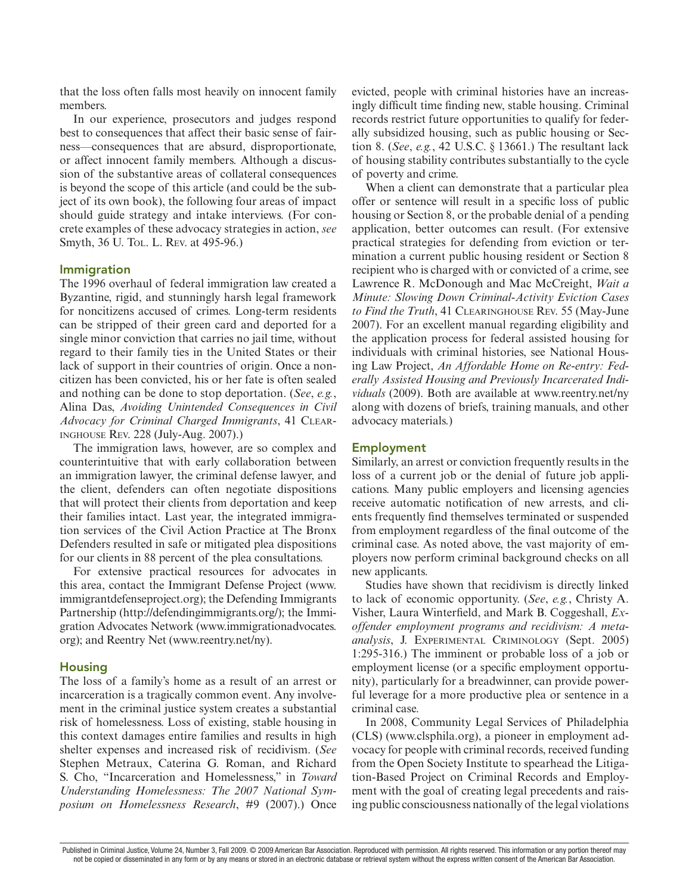that the loss often falls most heavily on innocent family members.

In our experience, prosecutors and judges respond best to consequences that affect their basic sense of fairness—consequences that are absurd, disproportionate, or affect innocent family members. Although a discussion of the substantive areas of collateral consequences is beyond the scope of this article (and could be the subject of its own book), the following four areas of impact should guide strategy and intake interviews. (For concrete examples of these advocacy strategies in action, *see* Smyth, 36 U. Tol. L. Rev. at 495-96.)

#### Immigration

The 1996 overhaul of federal immigration law created a Byzantine, rigid, and stunningly harsh legal framework for noncitizens accused of crimes. Long-term residents can be stripped of their green card and deported for a single minor conviction that carries no jail time, without regard to their family ties in the United States or their lack of support in their countries of origin. Once a noncitizen has been convicted, his or her fate is often sealed and nothing can be done to stop deportation. (*See*, *e.g.*, Alina Das, *Avoiding Unintended Consequences in Civil Advocacy for Criminal Charged Immigrants*, 41 Clearinghouse Rev. 228 (July-Aug. 2007).)

The immigration laws, however, are so complex and counterintuitive that with early collaboration between an immigration lawyer, the criminal defense lawyer, and the client, defenders can often negotiate dispositions that will protect their clients from deportation and keep their families intact. Last year, the integrated immigration services of the Civil Action Practice at The Bronx Defenders resulted in safe or mitigated plea dispositions for our clients in 88 percent of the plea consultations.

For extensive practical resources for advocates in this area, contact the Immigrant Defense Project (www. immigrantdefenseproject.org); the Defending Immigrants Partnership (http://defendingimmigrants.org/); the Immigration Advocates Network (www.immigrationadvocates. org); and Reentry Net (www.reentry.net/ny).

#### Housing

The loss of a family's home as a result of an arrest or incarceration is a tragically common event. Any involvement in the criminal justice system creates a substantial risk of homelessness. Loss of existing, stable housing in this context damages entire families and results in high shelter expenses and increased risk of recidivism. (*See* Stephen Metraux, Caterina G. Roman, and Richard S. Cho, "Incarceration and Homelessness," in *Toward Understanding Homelessness: The 2007 National Symposium on Homelessness Research*, #9 (2007).) Once evicted, people with criminal histories have an increasingly difficult time finding new, stable housing. Criminal records restrict future opportunities to qualify for federally subsidized housing, such as public housing or Section 8. (*See*, *e.g.*, 42 U.S.C. § 13661.) The resultant lack of housing stability contributes substantially to the cycle of poverty and crime.

When a client can demonstrate that a particular plea offer or sentence will result in a specific loss of public housing or Section 8, or the probable denial of a pending application, better outcomes can result. (For extensive practical strategies for defending from eviction or termination a current public housing resident or Section 8 recipient who is charged with or convicted of a crime, see Lawrence R. McDonough and Mac McCreight, *Wait a Minute: Slowing Down Criminal-Activity Eviction Cases*  to Find the Truth, 41 CLEARINGHOUSE REV. 55 (May-June 2007). For an excellent manual regarding eligibility and the application process for federal assisted housing for individuals with criminal histories, see National Housing Law Project, *An Affordable Home on Re-entry: Federally Assisted Housing and Previously Incarcerated Individuals* (2009). Both are available at www.reentry.net/ny along with dozens of briefs, training manuals, and other advocacy materials.)

#### Employment

Similarly, an arrest or conviction frequently results in the loss of a current job or the denial of future job applications. Many public employers and licensing agencies receive automatic notification of new arrests, and clients frequently find themselves terminated or suspended from employment regardless of the final outcome of the criminal case. As noted above, the vast majority of employers now perform criminal background checks on all new applicants.

Studies have shown that recidivism is directly linked to lack of economic opportunity. (*See*, *e.g.*, Christy A. Visher, Laura Winterfield, and Mark B. Coggeshall, *Exoffender employment programs and recidivism: A metaanalysis*, J. Experimental Criminology (Sept. 2005) 1:295-316.) The imminent or probable loss of a job or employment license (or a specific employment opportunity), particularly for a breadwinner, can provide powerful leverage for a more productive plea or sentence in a criminal case.

In 2008, Community Legal Services of Philadelphia (CLS) (www.clsphila.org), a pioneer in employment advocacy for people with criminal records, received funding from the Open Society Institute to spearhead the Litigation-Based Project on Criminal Records and Employment with the goal of creating legal precedents and raising public consciousness nationally of the legal violations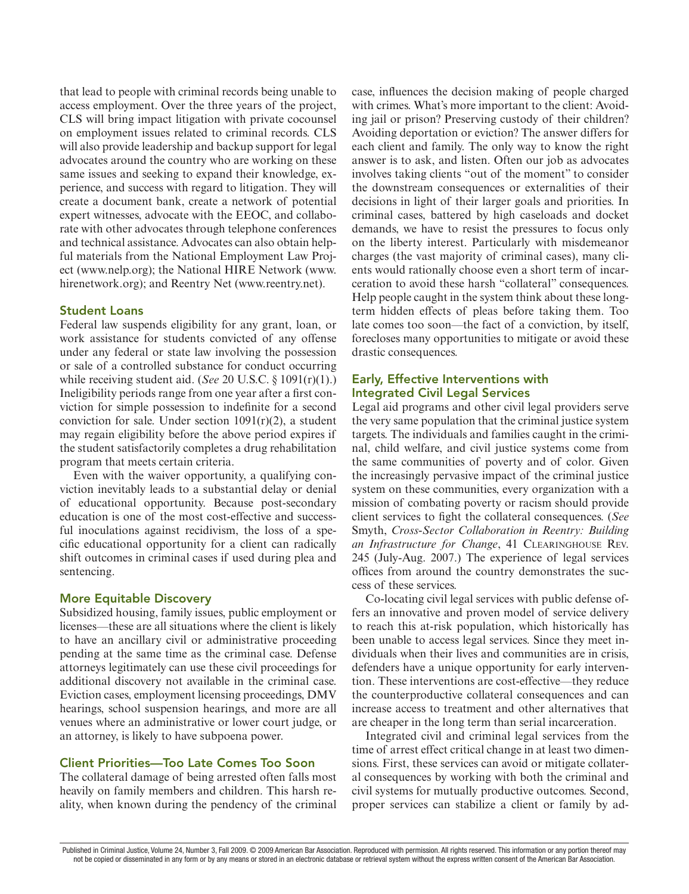that lead to people with criminal records being unable to access employment. Over the three years of the project, CLS will bring impact litigation with private cocounsel on employment issues related to criminal records. CLS will also provide leadership and backup support for legal advocates around the country who are working on these same issues and seeking to expand their knowledge, experience, and success with regard to litigation. They will create a document bank, create a network of potential expert witnesses, advocate with the EEOC, and collaborate with other advocates through telephone conferences and technical assistance. Advocates can also obtain helpful materials from the National Employment Law Project (www.nelp.org); the National HIRE Network (www. hirenetwork.org); and Reentry Net (www.reentry.net).

## Student Loans

Federal law suspends eligibility for any grant, loan, or work assistance for students convicted of any offense under any federal or state law involving the possession or sale of a controlled substance for conduct occurring while receiving student aid. (*See* 20 U.S.C. § 1091(r)(1).) Ineligibility periods range from one year after a first conviction for simple possession to indefinite for a second conviction for sale. Under section  $1091(r)(2)$ , a student may regain eligibility before the above period expires if the student satisfactorily completes a drug rehabilitation program that meets certain criteria.

Even with the waiver opportunity, a qualifying conviction inevitably leads to a substantial delay or denial of educational opportunity. Because post-secondary education is one of the most cost-effective and successful inoculations against recidivism, the loss of a specific educational opportunity for a client can radically shift outcomes in criminal cases if used during plea and sentencing.

#### More Equitable Discovery

Subsidized housing, family issues, public employment or licenses—these are all situations where the client is likely to have an ancillary civil or administrative proceeding pending at the same time as the criminal case. Defense attorneys legitimately can use these civil proceedings for additional discovery not available in the criminal case. Eviction cases, employment licensing proceedings, DMV hearings, school suspension hearings, and more are all venues where an administrative or lower court judge, or an attorney, is likely to have subpoena power.

# Client Priorities—Too Late Comes Too Soon

The collateral damage of being arrested often falls most heavily on family members and children. This harsh reality, when known during the pendency of the criminal case, influences the decision making of people charged with crimes. What's more important to the client: Avoiding jail or prison? Preserving custody of their children? Avoiding deportation or eviction? The answer differs for each client and family. The only way to know the right answer is to ask, and listen. Often our job as advocates involves taking clients "out of the moment" to consider the downstream consequences or externalities of their decisions in light of their larger goals and priorities. In criminal cases, battered by high caseloads and docket demands, we have to resist the pressures to focus only on the liberty interest. Particularly with misdemeanor charges (the vast majority of criminal cases), many clients would rationally choose even a short term of incarceration to avoid these harsh "collateral" consequences. Help people caught in the system think about these longterm hidden effects of pleas before taking them. Too late comes too soon—the fact of a conviction, by itself, forecloses many opportunities to mitigate or avoid these drastic consequences.

# Early, Effective Interventions with Integrated Civil Legal Services

Legal aid programs and other civil legal providers serve the very same population that the criminal justice system targets. The individuals and families caught in the criminal, child welfare, and civil justice systems come from the same communities of poverty and of color. Given the increasingly pervasive impact of the criminal justice system on these communities, every organization with a mission of combating poverty or racism should provide client services to fight the collateral consequences. (*See* Smyth, *Cross-Sector Collaboration in Reentry: Building an Infrastructure for Change*, 41 Clearinghouse Rev. 245 (July-Aug. 2007.) The experience of legal services offices from around the country demonstrates the success of these services.

Co-locating civil legal services with public defense offers an innovative and proven model of service delivery to reach this at-risk population, which historically has been unable to access legal services. Since they meet individuals when their lives and communities are in crisis, defenders have a unique opportunity for early intervention. These interventions are cost-effective—they reduce the counterproductive collateral consequences and can increase access to treatment and other alternatives that are cheaper in the long term than serial incarceration.

Integrated civil and criminal legal services from the time of arrest effect critical change in at least two dimensions. First, these services can avoid or mitigate collateral consequences by working with both the criminal and civil systems for mutually productive outcomes. Second, proper services can stabilize a client or family by ad-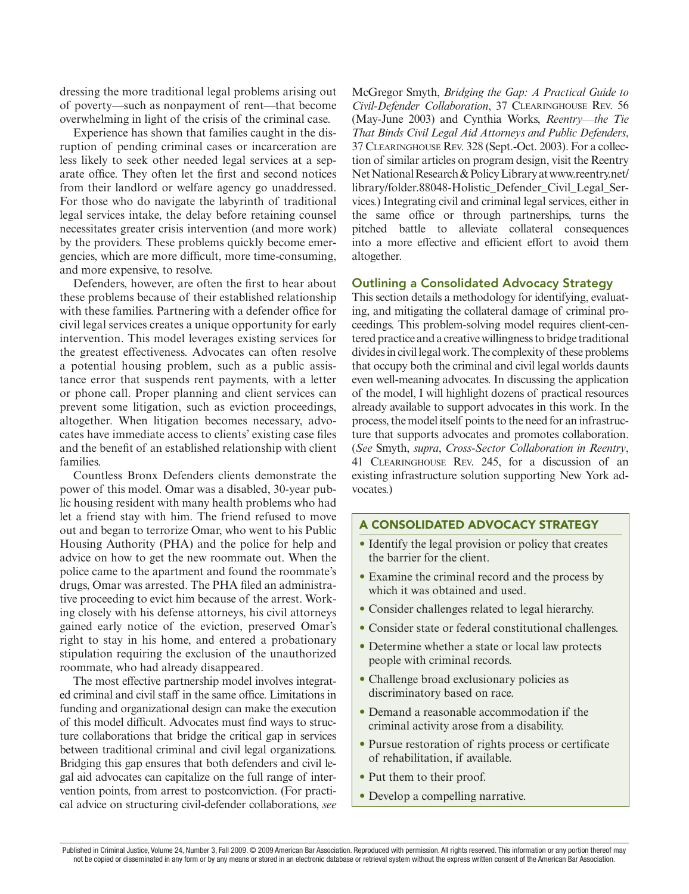dressing the more traditional legal problems arising out of poverty—such as nonpayment of rent—that become overwhelming in light of the crisis of the criminal case.

Experience has shown that families caught in the disruption of pending criminal cases or incarceration are less likely to seek other needed legal services at a separate office. They often let the first and second notices from their landlord or welfare agency go unaddressed. For those who do navigate the labyrinth of traditional legal services intake, the delay before retaining counsel necessitates greater crisis intervention (and more work) by the providers. These problems quickly become emergencies, which are more difficult, more time-consuming, and more expensive, to resolve.

Defenders, however, are often the first to hear about these problems because of their established relationship with these families. Partnering with a defender office for civil legal services creates a unique opportunity for early intervention. This model leverages existing services for the greatest effectiveness. Advocates can often resolve a potential housing problem, such as a public assistance error that suspends rent payments, with a letter or phone call. Proper planning and client services can prevent some litigation, such as eviction proceedings, altogether. When litigation becomes necessary, advocates have immediate access to clients' existing case files and the benefit of an established relationship with client families.

Countless Bronx Defenders clients demonstrate the power of this model. Omar was a disabled, 30-year public housing resident with many health problems who had let a friend stay with him. The friend refused to move out and began to terrorize Omar, who went to his Public Housing Authority (PHA) and the police for help and advice on how to get the new roommate out. When the police came to the apartment and found the roommate's drugs, Omar was arrested. The PHA filed an administrative proceeding to evict him because of the arrest. Working closely with his defense attorneys, his civil attorneys gained early notice of the eviction, preserved Omar's right to stay in his home, and entered a probationary stipulation requiring the exclusion of the unauthorized roommate, who had already disappeared.

The most effective partnership model involves integrated criminal and civil staff in the same office. Limitations in funding and organizational design can make the execution of this model difficult. Advocates must find ways to structure collaborations that bridge the critical gap in services between traditional criminal and civil legal organizations. Bridging this gap ensures that both defenders and civil legal aid advocates can capitalize on the full range of intervention points, from arrest to postconviction. (For practical advice on structuring civil-defender collaborations, *see*

McGregor Smyth, *Bridging the Gap: A Practical Guide to Civil-Defender Collaboration*, 37 Clearinghouse Rev. 56 (May-June 2003) and Cynthia Works, *Reentry—the Tie That Binds Civil Legal Aid Attorneys and Public Defenders*, 37 Clearinghouse Rev. 328 (Sept.-Oct. 2003). For a collection of similar articles on program design, visit the Reentry Net National Research & Policy Library at www.reentry.net/ library/folder.88048-Holistic\_Defender\_Civil\_Legal\_Services.) Integrating civil and criminal legal services, either in the same office or through partnerships, turns the pitched battle to alleviate collateral consequences into a more effective and efficient effort to avoid them altogether.

#### Outlining a Consolidated Advocacy Strategy

This section details a methodology for identifying, evaluating, and mitigating the collateral damage of criminal proceedings. This problem-solving model requires client-centered practice and a creative willingness to bridge traditional divides in civil legal work. The complexity of these problems that occupy both the criminal and civil legal worlds daunts even well-meaning advocates. In discussing the application of the model, I will highlight dozens of practical resources already available to support advocates in this work. In the process, the model itself points to the need for an infrastructure that supports advocates and promotes collaboration. (*See* Smyth, *supra*, *Cross-Sector Collaboration in Reentry*, 41 Clearinghouse Rev. 245, for a discussion of an existing infrastructure solution supporting New York advocates.)

#### A Consolidated Advocacy Strategy

- Identify the legal provision or policy that creates the barrier for the client.
- Examine the criminal record and the process by which it was obtained and used.
- Consider challenges related to legal hierarchy.
- Consider state or federal constitutional challenges.
- Determine whether a state or local law protects people with criminal records.
- Challenge broad exclusionary policies as discriminatory based on race.
- Demand a reasonable accommodation if the criminal activity arose from a disability.
- Pursue restoration of rights process or certificate of rehabilitation, if available.
- Put them to their proof.
- Develop a compelling narrative.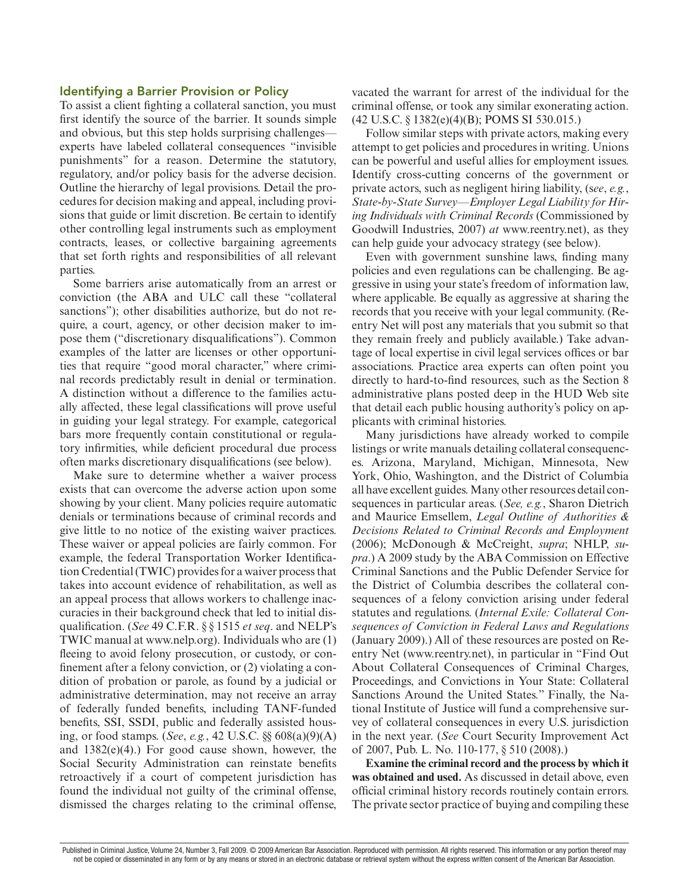#### Identifying a Barrier Provision or Policy

To assist a client fighting a collateral sanction, you must first identify the source of the barrier. It sounds simple and obvious, but this step holds surprising challenges experts have labeled collateral consequences "invisible punishments" for a reason. Determine the statutory, regulatory, and/or policy basis for the adverse decision. Outline the hierarchy of legal provisions. Detail the procedures for decision making and appeal, including provisions that guide or limit discretion. Be certain to identify other controlling legal instruments such as employment contracts, leases, or collective bargaining agreements that set forth rights and responsibilities of all relevant parties.

Some barriers arise automatically from an arrest or conviction (the ABA and ULC call these "collateral sanctions"); other disabilities authorize, but do not require, a court, agency, or other decision maker to impose them ("discretionary disqualifications"). Common examples of the latter are licenses or other opportunities that require "good moral character," where criminal records predictably result in denial or termination. A distinction without a difference to the families actually affected, these legal classifications will prove useful in guiding your legal strategy. For example, categorical bars more frequently contain constitutional or regulatory infirmities, while deficient procedural due process often marks discretionary disqualifications (see below).

Make sure to determine whether a waiver process exists that can overcome the adverse action upon some showing by your client. Many policies require automatic denials or terminations because of criminal records and give little to no notice of the existing waiver practices. These waiver or appeal policies are fairly common. For example, the federal Transportation Worker Identification Credential (TWIC) provides for a waiver process that takes into account evidence of rehabilitation, as well as an appeal process that allows workers to challenge inaccuracies in their background check that led to initial disqualification. (*See* 49 C.F.R. § § 1515 *et seq*. and NELP's TWIC manual at www.nelp.org). Individuals who are (1) fleeing to avoid felony prosecution, or custody, or confinement after a felony conviction, or (2) violating a condition of probation or parole, as found by a judicial or administrative determination, may not receive an array of federally funded benefits, including TANF-funded benefits, SSI, SSDI, public and federally assisted housing, or food stamps. (*See*, *e.g.*, 42 U.S.C. §§ 608(a)(9)(A) and 1382(e)(4).) For good cause shown, however, the Social Security Administration can reinstate benefits retroactively if a court of competent jurisdiction has found the individual not guilty of the criminal offense, dismissed the charges relating to the criminal offense,

vacated the warrant for arrest of the individual for the criminal offense, or took any similar exonerating action. (42 U.S.C. § 1382(e)(4)(B); POMS SI 530.015.)

Follow similar steps with private actors, making every attempt to get policies and procedures in writing. Unions can be powerful and useful allies for employment issues. Identify cross-cutting concerns of the government or private actors, such as negligent hiring liability, (s*ee*, *e.g.*, *State-by-State Survey—Employer Legal Liability for Hiring Individuals with Criminal Records* (Commissioned by Goodwill Industries, 2007) *at* www.reentry.net), as they can help guide your advocacy strategy (see below).

Even with government sunshine laws, finding many policies and even regulations can be challenging. Be aggressive in using your state's freedom of information law, where applicable. Be equally as aggressive at sharing the records that you receive with your legal community. (Reentry Net will post any materials that you submit so that they remain freely and publicly available.) Take advantage of local expertise in civil legal services offices or bar associations. Practice area experts can often point you directly to hard-to-find resources, such as the Section 8 administrative plans posted deep in the HUD Web site that detail each public housing authority's policy on applicants with criminal histories.

Many jurisdictions have already worked to compile listings or write manuals detailing collateral consequences. Arizona, Maryland, Michigan, Minnesota, New York, Ohio, Washington, and the District of Columbia all have excellent guides. Many other resources detail consequences in particular areas. (*See, e.g.*, Sharon Dietrich and Maurice Emsellem, *Legal Outline of Authorities & Decisions Related to Criminal Records and Employment* (2006); McDonough & McCreight, *supra*; NHLP, *supra*.) A 2009 study by the ABA Commission on Effective Criminal Sanctions and the Public Defender Service for the District of Columbia describes the collateral consequences of a felony conviction arising under federal statutes and regulations. (*Internal Exile: Collateral Consequences of Conviction in Federal Laws and Regulations* (January 2009).) All of these resources are posted on Reentry Net (www.reentry.net), in particular in "Find Out About Collateral Consequences of Criminal Charges, Proceedings, and Convictions in Your State: Collateral Sanctions Around the United States." Finally, the National Institute of Justice will fund a comprehensive survey of collateral consequences in every U.S. jurisdiction in the next year. (*See* Court Security Improvement Act of 2007, Pub. L. No. 110-177, § 510 (2008).)

**Examine the criminal record and the process by which it was obtained and used.** As discussed in detail above, even official criminal history records routinely contain errors. The private sector practice of buying and compiling these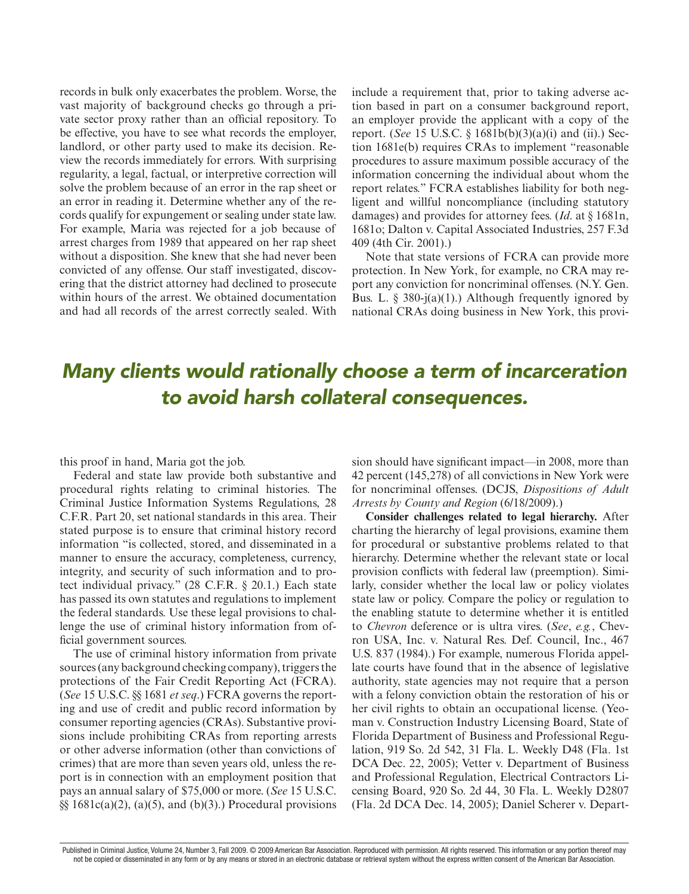records in bulk only exacerbates the problem. Worse, the vast majority of background checks go through a private sector proxy rather than an official repository. To be effective, you have to see what records the employer, landlord, or other party used to make its decision. Review the records immediately for errors. With surprising regularity, a legal, factual, or interpretive correction will solve the problem because of an error in the rap sheet or an error in reading it. Determine whether any of the records qualify for expungement or sealing under state law. For example, Maria was rejected for a job because of arrest charges from 1989 that appeared on her rap sheet without a disposition. She knew that she had never been convicted of any offense. Our staff investigated, discovering that the district attorney had declined to prosecute within hours of the arrest. We obtained documentation and had all records of the arrest correctly sealed. With

include a requirement that, prior to taking adverse action based in part on a consumer background report, an employer provide the applicant with a copy of the report. (*See* 15 U.S.C. § 1681b(b)(3)(a)(i) and (ii).) Section 1681e(b) requires CRAs to implement "reasonable procedures to assure maximum possible accuracy of the information concerning the individual about whom the report relates." FCRA establishes liability for both negligent and willful noncompliance (including statutory damages) and provides for attorney fees. (*Id*. at § 1681n, 1681o; Dalton v. Capital Associated Industries, 257 F.3d 409 (4th Cir. 2001).)

Note that state versions of FCRA can provide more protection. In New York, for example, no CRA may report any conviction for noncriminal offenses. (N.Y. Gen. Bus. L. § 380-j(a)(1).) Although frequently ignored by national CRAs doing business in New York, this provi-

# *Many clients would rationally choose a term of incarceration to avoid harsh collateral consequences.*

this proof in hand, Maria got the job.

Federal and state law provide both substantive and procedural rights relating to criminal histories. The Criminal Justice Information Systems Regulations, 28 C.F.R. Part 20, set national standards in this area. Their stated purpose is to ensure that criminal history record information "is collected, stored, and disseminated in a manner to ensure the accuracy, completeness, currency, integrity, and security of such information and to protect individual privacy." (28 C.F.R. § 20.1.) Each state has passed its own statutes and regulations to implement the federal standards. Use these legal provisions to challenge the use of criminal history information from official government sources.

The use of criminal history information from private sources (any background checking company), triggers the protections of the Fair Credit Reporting Act (FCRA). (*See* 15 U.S.C. §§ 1681 *et seq*.) FCRA governs the reporting and use of credit and public record information by consumer reporting agencies (CRAs). Substantive provisions include prohibiting CRAs from reporting arrests or other adverse information (other than convictions of crimes) that are more than seven years old, unless the report is in connection with an employment position that pays an annual salary of \$75,000 or more. (*See* 15 U.S.C.  $\S$ [§§ 1681c(a)(2), (a)(5), and (b)(3).) Procedural provisions

sion should have significant impact—in 2008, more than 42 percent (145,278) of all convictions in New York were for noncriminal offenses. (DCJS, *Dispositions of Adult Arrests by County and Region* (6/18/2009).)

**Consider challenges related to legal hierarchy.** After charting the hierarchy of legal provisions, examine them for procedural or substantive problems related to that hierarchy. Determine whether the relevant state or local provision conflicts with federal law (preemption). Similarly, consider whether the local law or policy violates state law or policy. Compare the policy or regulation to the enabling statute to determine whether it is entitled to *Chevron* deference or is ultra vires. (*See*, *e.g.*, Chevron USA, Inc. v. Natural Res. Def. Council, Inc., 467 U.S. 837 (1984).) For example, numerous Florida appellate courts have found that in the absence of legislative authority, state agencies may not require that a person with a felony conviction obtain the restoration of his or her civil rights to obtain an occupational license. (Yeoman v. Construction Industry Licensing Board, State of Florida Department of Business and Professional Regulation, 919 So. 2d 542, 31 Fla. L. Weekly D48 (Fla. 1st DCA Dec. 22, 2005); Vetter v. Department of Business and Professional Regulation, Electrical Contractors Licensing Board, 920 So. 2d 44, 30 Fla. L. Weekly D2807 (Fla. 2d DCA Dec. 14, 2005); Daniel Scherer v. Depart-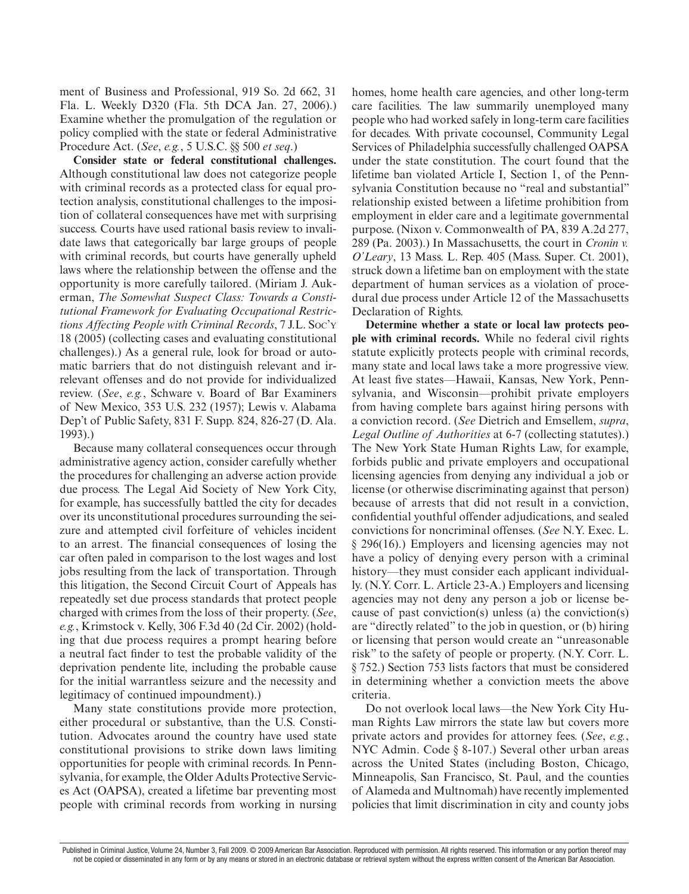ment of Business and Professional, 919 So. 2d 662, 31 Fla. L. Weekly D320 (Fla. 5th DCA Jan. 27, 2006).) Examine whether the promulgation of the regulation or policy complied with the state or federal Administrative Procedure Act. (*See*, *e.g.*, 5 U.S.C. §§ 500 *et seq*.)

**Consider state or federal constitutional challenges.**  Although constitutional law does not categorize people with criminal records as a protected class for equal protection analysis, constitutional challenges to the imposition of collateral consequences have met with surprising success. Courts have used rational basis review to invalidate laws that categorically bar large groups of people with criminal records, but courts have generally upheld laws where the relationship between the offense and the opportunity is more carefully tailored. (Miriam J. Aukerman, *The Somewhat Suspect Class: Towards a Constitutional Framework for Evaluating Occupational Restrictions Affecting People with Criminal Records*, 7 J.L. Soc'y 18 (2005) (collecting cases and evaluating constitutional challenges).) As a general rule, look for broad or automatic barriers that do not distinguish relevant and irrelevant offenses and do not provide for individualized review. (*See*, *e.g.*, Schware v. Board of Bar Examiners of New Mexico, 353 U.S. 232 (1957); Lewis v. Alabama Dep't of Public Safety, 831 F. Supp. 824, 826-27 (D. Ala. 1993).)

Because many collateral consequences occur through administrative agency action, consider carefully whether the procedures for challenging an adverse action provide due process. The Legal Aid Society of New York City, for example, has successfully battled the city for decades over its unconstitutional procedures surrounding the seizure and attempted civil forfeiture of vehicles incident to an arrest. The financial consequences of losing the car often paled in comparison to the lost wages and lost jobs resulting from the lack of transportation. Through this litigation, the Second Circuit Court of Appeals has repeatedly set due process standards that protect people charged with crimes from the loss of their property. (*See*, *e.g.*, Krimstock v. Kelly, 306 F.3d 40 (2d Cir. 2002) (holding that due process requires a prompt hearing before a neutral fact finder to test the probable validity of the deprivation pendente lite, including the probable cause for the initial warrantless seizure and the necessity and legitimacy of continued impoundment).)

Many state constitutions provide more protection, either procedural or substantive, than the U.S. Constitution. Advocates around the country have used state constitutional provisions to strike down laws limiting opportunities for people with criminal records. In Pennsylvania, for example, the Older Adults Protective Services Act (OAPSA), created a lifetime bar preventing most people with criminal records from working in nursing homes, home health care agencies, and other long-term care facilities. The law summarily unemployed many people who had worked safely in long-term care facilities for decades. With private cocounsel, Community Legal Services of Philadelphia successfully challenged OAPSA under the state constitution. The court found that the lifetime ban violated Article I, Section 1, of the Pennsylvania Constitution because no "real and substantial" relationship existed between a lifetime prohibition from employment in elder care and a legitimate governmental purpose. (Nixon v. Commonwealth of PA, 839 A.2d 277, 289 (Pa. 2003).) In Massachusetts, the court in *Cronin v. O'Leary*, 13 Mass. L. Rep. 405 (Mass. Super. Ct. 2001), struck down a lifetime ban on employment with the state department of human services as a violation of procedural due process under Article 12 of the Massachusetts Declaration of Rights.

**Determine whether a state or local law protects people with criminal records.** While no federal civil rights statute explicitly protects people with criminal records, many state and local laws take a more progressive view. At least five states—Hawaii, Kansas, New York, Pennsylvania, and Wisconsin—prohibit private employers from having complete bars against hiring persons with a conviction record. (*See* Dietrich and Emsellem, *supra*, *Legal Outline of Authorities* at 6-7 (collecting statutes).) The New York State Human Rights Law, for example, forbids public and private employers and occupational licensing agencies from denying any individual a job or license (or otherwise discriminating against that person) because of arrests that did not result in a conviction, confidential youthful offender adjudications, and sealed convictions for noncriminal offenses. (*See* N.Y. Exec. L. § 296(16).) Employers and licensing agencies may not have a policy of denying every person with a criminal history—they must consider each applicant individually. (N.Y. Corr. L. Article 23-A.) Employers and licensing agencies may not deny any person a job or license because of past conviction(s) unless (a) the conviction(s) are "directly related" to the job in question, or (b) hiring or licensing that person would create an "unreasonable risk" to the safety of people or property. (N.Y. Corr. L. § 752.) Section 753 lists factors that must be considered in determining whether a conviction meets the above criteria.

Do not overlook local laws—the New York City Human Rights Law mirrors the state law but covers more private actors and provides for attorney fees. (*See*, *e.g.*, NYC Admin. Code § 8-107.) Several other urban areas across the United States (including Boston, Chicago, Minneapolis, San Francisco, St. Paul, and the counties of Alameda and Multnomah) have recently implemented policies that limit discrimination in city and county jobs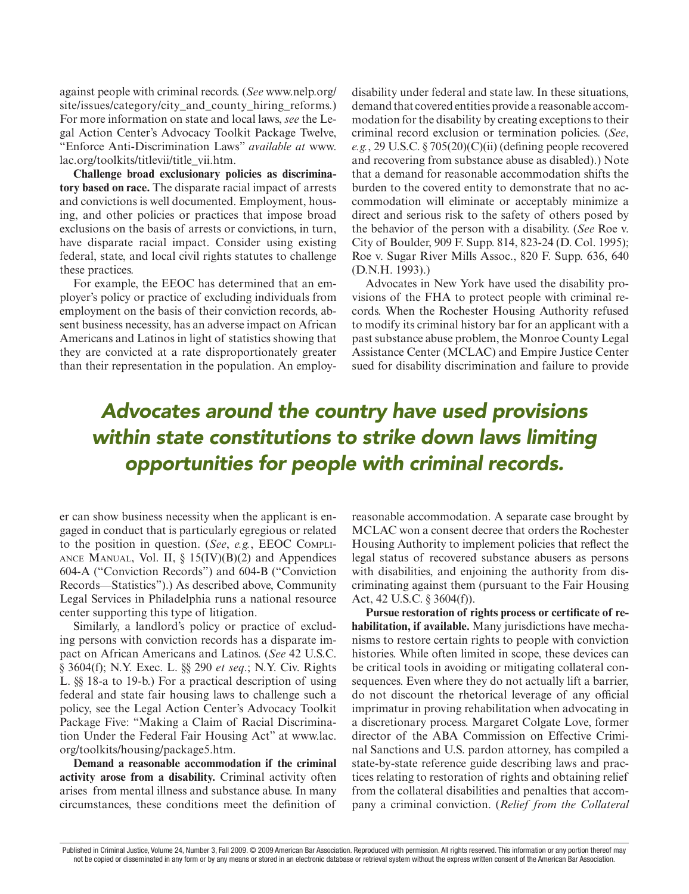against people with criminal records. (*See* www.nelp.org/ site/issues/category/city and county hiring reforms.) For more information on state and local laws, *see* the Legal Action Center's Advocacy Toolkit Package Twelve, "Enforce Anti-Discrimination Laws" *available at* www. lac.org/toolkits/titlevii/title\_vii.htm.

**Challenge broad exclusionary policies as discriminatory based on race.** The disparate racial impact of arrests and convictions is well documented. Employment, housing, and other policies or practices that impose broad exclusions on the basis of arrests or convictions, in turn, have disparate racial impact. Consider using existing federal, state, and local civil rights statutes to challenge these practices.

For example, the EEOC has determined that an employer's policy or practice of excluding individuals from employment on the basis of their conviction records, absent business necessity, has an adverse impact on African Americans and Latinos in light of statistics showing that they are convicted at a rate disproportionately greater than their representation in the population. An employdisability under federal and state law. In these situations, demand that covered entities provide a reasonable accommodation for the disability by creating exceptions to their criminal record exclusion or termination policies. (*See*, *e.g.*, 29 U.S.C. § 705(20)(C)(ii) (defining people recovered and recovering from substance abuse as disabled).) Note that a demand for reasonable accommodation shifts the burden to the covered entity to demonstrate that no accommodation will eliminate or acceptably minimize a direct and serious risk to the safety of others posed by the behavior of the person with a disability. (*See* Roe v. City of Boulder, 909 F. Supp. 814, 823-24 (D. Col. 1995); Roe v. Sugar River Mills Assoc., 820 F. Supp. 636, 640 (D.N.H. 1993).)

Advocates in New York have used the disability provisions of the FHA to protect people with criminal records. When the Rochester Housing Authority refused to modify its criminal history bar for an applicant with a past substance abuse problem, the Monroe County Legal Assistance Center (MCLAC) and Empire Justice Center sued for disability discrimination and failure to provide

# *Advocates around the country have used provisions within state constitutions to strike down laws limiting opportunities for people with criminal records.*

er can show business necessity when the applicant is engaged in conduct that is particularly egregious or related to the position in question. (*See*, *e.g.*, EEOC Compli-ANCE MANUAL, Vol. II,  $\S 15(IV)(B)(2)$  and Appendices 604-A ("Conviction Records") and 604-B ("Conviction Records—Statistics").) As described above, Community Legal Services in Philadelphia runs a national resource center supporting this type of litigation.

Similarly, a landlord's policy or practice of excluding persons with conviction records has a disparate impact on African Americans and Latinos. (*See* 42 U.S.C. § 3604(f); N.Y. Exec. L. §§ 290 *et seq*.; N.Y. Civ. Rights L. §§ 18-a to 19-b.) For a practical description of using federal and state fair housing laws to challenge such a policy, see the Legal Action Center's Advocacy Toolkit Package Five: "Making a Claim of Racial Discrimination Under the Federal Fair Housing Act" at www.lac. org/toolkits/housing/package5.htm.

**Demand a reasonable accommodation if the criminal activity arose from a disability.** Criminal activity often arises from mental illness and substance abuse. In many circumstances, these conditions meet the definition of

reasonable accommodation. A separate case brought by MCLAC won a consent decree that orders the Rochester Housing Authority to implement policies that reflect the legal status of recovered substance abusers as persons with disabilities, and enjoining the authority from discriminating against them (pursuant to the Fair Housing Act, 42 U.S.C. § 3604(f)).

**Pursue restoration of rights process or certificate of rehabilitation, if available.** Many jurisdictions have mechanisms to restore certain rights to people with conviction histories. While often limited in scope, these devices can be critical tools in avoiding or mitigating collateral consequences. Even where they do not actually lift a barrier, do not discount the rhetorical leverage of any official imprimatur in proving rehabilitation when advocating in a discretionary process. Margaret Colgate Love, former director of the ABA Commission on Effective Criminal Sanctions and U.S. pardon attorney, has compiled a state-by-state reference guide describing laws and practices relating to restoration of rights and obtaining relief from the collateral disabilities and penalties that accompany a criminal conviction. (*Relief from the Collateral*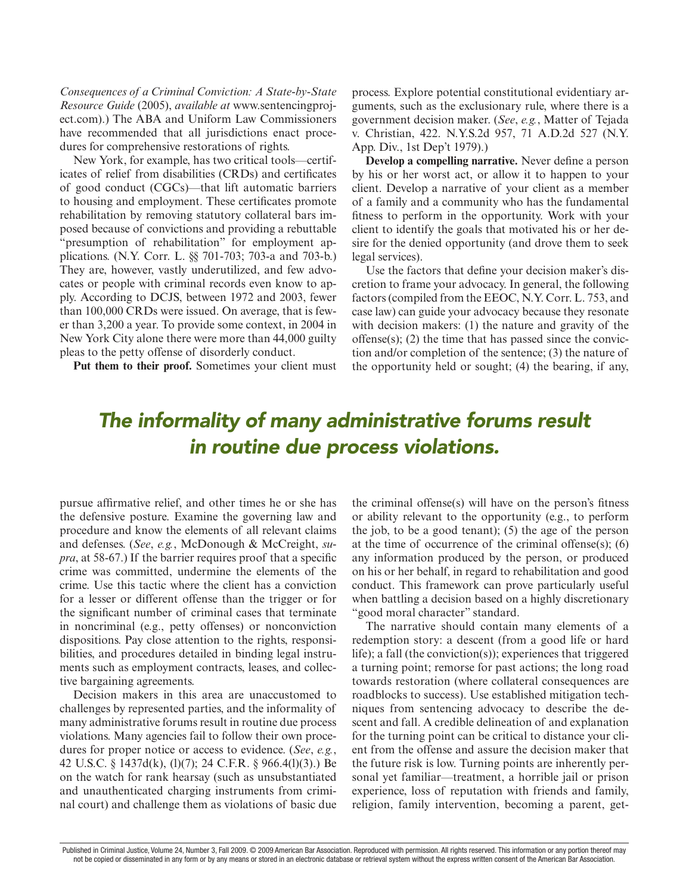*Consequences of a Criminal Conviction: A State-by-State Resource Guide* (2005), *available at* www.sentencingproject.com).) The ABA and Uniform Law Commissioners have recommended that all jurisdictions enact procedures for comprehensive restorations of rights.

New York, for example, has two critical tools—certificates of relief from disabilities (CRDs) and certificates of good conduct (CGCs)—that lift automatic barriers to housing and employment. These certificates promote rehabilitation by removing statutory collateral bars imposed because of convictions and providing a rebuttable "presumption of rehabilitation" for employment applications. (N.Y. Corr. L. §§ 701-703; 703-a and 703-b.) They are, however, vastly underutilized, and few advocates or people with criminal records even know to apply. According to DCJS, between 1972 and 2003, fewer than 100,000 CRDs were issued. On average, that is fewer than 3,200 a year. To provide some context, in 2004 in New York City alone there were more than 44,000 guilty pleas to the petty offense of disorderly conduct.

Put them to their proof. Sometimes your client must

process. Explore potential constitutional evidentiary arguments, such as the exclusionary rule, where there is a government decision maker. (*See*, *e.g.*, Matter of Tejada v. Christian, 422. N.Y.S.2d 957, 71 A.D.2d 527 (N.Y. App. Div., 1st Dep't 1979).)

**Develop a compelling narrative.** Never define a person by his or her worst act, or allow it to happen to your client. Develop a narrative of your client as a member of a family and a community who has the fundamental fitness to perform in the opportunity. Work with your client to identify the goals that motivated his or her desire for the denied opportunity (and drove them to seek legal services).

Use the factors that define your decision maker's discretion to frame your advocacy. In general, the following factors (compiled from the EEOC, N.Y. Corr. L. 753, and case law) can guide your advocacy because they resonate with decision makers: (1) the nature and gravity of the offense(s); (2) the time that has passed since the conviction and/or completion of the sentence; (3) the nature of the opportunity held or sought; (4) the bearing, if any,

# *The informality of many administrative forums result in routine due process violations.*

pursue affirmative relief, and other times he or she has the defensive posture. Examine the governing law and procedure and know the elements of all relevant claims and defenses. (*See*, *e.g.*, McDonough & McCreight, *supra*, at 58-67.) If the barrier requires proof that a specific crime was committed, undermine the elements of the crime. Use this tactic where the client has a conviction for a lesser or different offense than the trigger or for the significant number of criminal cases that terminate in noncriminal (e.g., petty offenses) or nonconviction dispositions. Pay close attention to the rights, responsibilities, and procedures detailed in binding legal instruments such as employment contracts, leases, and collective bargaining agreements.

Decision makers in this area are unaccustomed to challenges by represented parties, and the informality of many administrative forums result in routine due process violations. Many agencies fail to follow their own procedures for proper notice or access to evidence. (*See*, *e.g.*, 42 U.S.C. § 1437d(k), (l)(7); 24 C.F.R. § 966.4(l)(3).) Be on the watch for rank hearsay (such as unsubstantiated and unauthenticated charging instruments from criminal court) and challenge them as violations of basic due

the criminal offense(s) will have on the person's fitness or ability relevant to the opportunity (e.g., to perform the job, to be a good tenant); (5) the age of the person at the time of occurrence of the criminal offense(s); (6) any information produced by the person, or produced on his or her behalf, in regard to rehabilitation and good conduct. This framework can prove particularly useful when battling a decision based on a highly discretionary "good moral character" standard.

The narrative should contain many elements of a redemption story: a descent (from a good life or hard life); a fall (the conviction(s)); experiences that triggered a turning point; remorse for past actions; the long road towards restoration (where collateral consequences are roadblocks to success). Use established mitigation techniques from sentencing advocacy to describe the descent and fall. A credible delineation of and explanation for the turning point can be critical to distance your client from the offense and assure the decision maker that the future risk is low. Turning points are inherently personal yet familiar—treatment, a horrible jail or prison experience, loss of reputation with friends and family, religion, family intervention, becoming a parent, get-